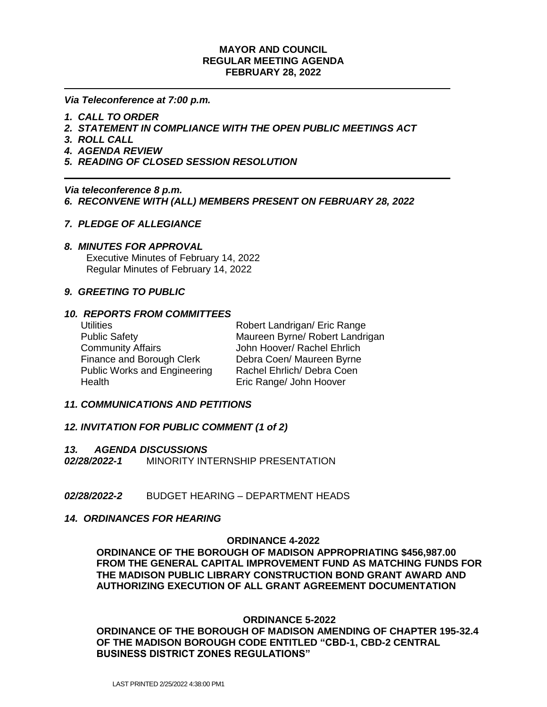## **MAYOR AND COUNCIL REGULAR MEETING AGENDA FEBRUARY 28, 2022**

*Via Teleconference at 7:00 p.m.*

- *1. CALL TO ORDER*
- *2. STATEMENT IN COMPLIANCE WITH THE OPEN PUBLIC MEETINGS ACT*
- *3. ROLL CALL*
- *4. AGENDA REVIEW*
- *5. READING OF CLOSED SESSION RESOLUTION*

*Via teleconference 8 p.m. 6. RECONVENE WITH (ALL) MEMBERS PRESENT ON FEBRUARY 28, 2022*

# *7. PLEDGE OF ALLEGIANCE*

## *8. MINUTES FOR APPROVAL*

 Executive Minutes of February 14, 2022 Regular Minutes of February 14, 2022

# *9. GREETING TO PUBLIC*

## *10. REPORTS FROM COMMITTEES*

Community Affairs **Community Affairs** John Hoover/ Rachel Ehrlich Finance and Borough Clerk Debra Coen/ Maureen Byrne Public Works and Engineering Rachel Ehrlich/ Debra Coen Health Eric Range/ John Hoover

Utilities **Notainally Community Robert Landrigan/ Eric Range** Public Safety Maureen Byrne/ Robert Landrigan

## *11. COMMUNICATIONS AND PETITIONS*

# *12. INVITATION FOR PUBLIC COMMENT (1 of 2)*

#### *13. AGENDA DISCUSSIONS*

*02/28/2022-1*MINORITY INTERNSHIP PRESENTATION

*02/28/2022-2*BUDGET HEARING – DEPARTMENT HEADS

## *14. ORDINANCES FOR HEARING*

### **ORDINANCE 4-2022**

**ORDINANCE OF THE BOROUGH OF MADISON APPROPRIATING \$456,987.00 FROM THE GENERAL CAPITAL IMPROVEMENT FUND AS MATCHING FUNDS FOR THE MADISON PUBLIC LIBRARY CONSTRUCTION BOND GRANT AWARD AND AUTHORIZING EXECUTION OF ALL GRANT AGREEMENT DOCUMENTATION**

## **ORDINANCE 5-2022**

**ORDINANCE OF THE BOROUGH OF MADISON AMENDING OF CHAPTER 195-32.4 OF THE MADISON BOROUGH CODE ENTITLED "CBD-1, CBD-2 CENTRAL BUSINESS DISTRICT ZONES REGULATIONS"**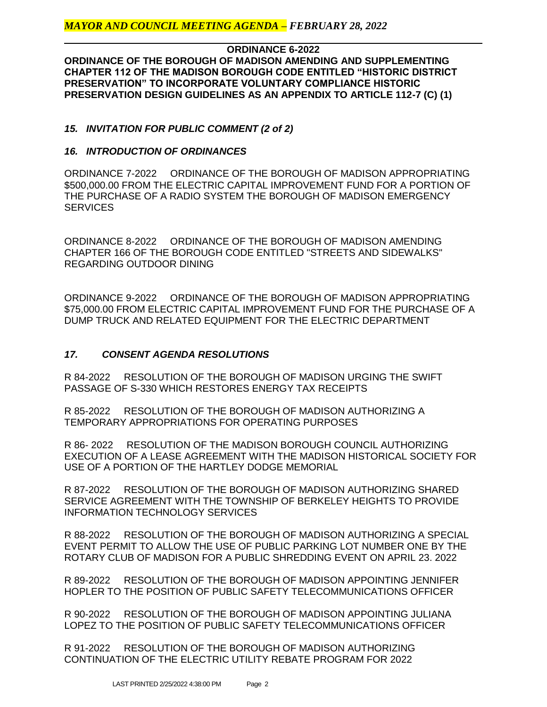**ORDINANCE 6-2022 ORDINANCE OF THE BOROUGH OF MADISON AMENDING AND SUPPLEMENTING CHAPTER 112 OF THE MADISON BOROUGH CODE ENTITLED "HISTORIC DISTRICT PRESERVATION" TO INCORPORATE VOLUNTARY COMPLIANCE HISTORIC PRESERVATION DESIGN GUIDELINES AS AN APPENDIX TO ARTICLE 112-7 (C) (1)**

*15. INVITATION FOR PUBLIC COMMENT (2 of 2)*

# *16. INTRODUCTION OF ORDINANCES*

ORDINANCE 7-2022 ORDINANCE OF THE BOROUGH OF MADISON APPROPRIATING \$500,000.00 FROM THE ELECTRIC CAPITAL IMPROVEMENT FUND FOR A PORTION OF THE PURCHASE OF A RADIO SYSTEM THE BOROUGH OF MADISON EMERGENCY **SERVICES** 

ORDINANCE 8-2022 ORDINANCE OF THE BOROUGH OF MADISON AMENDING CHAPTER 166 OF THE BOROUGH CODE ENTITLED "STREETS AND SIDEWALKS" REGARDING OUTDOOR DINING

ORDINANCE 9-2022 ORDINANCE OF THE BOROUGH OF MADISON APPROPRIATING \$75,000.00 FROM ELECTRIC CAPITAL IMPROVEMENT FUND FOR THE PURCHASE OF A DUMP TRUCK AND RELATED EQUIPMENT FOR THE ELECTRIC DEPARTMENT

# *17. CONSENT AGENDA RESOLUTIONS*

R 84-2022 RESOLUTION OF THE BOROUGH OF MADISON URGING THE SWIFT PASSAGE OF S-330 WHICH RESTORES ENERGY TAX RECEIPTS

R 85-2022 RESOLUTION OF THE BOROUGH OF MADISON AUTHORIZING A TEMPORARY APPROPRIATIONS FOR OPERATING PURPOSES

R 86- 2022 RESOLUTION OF THE MADISON BOROUGH COUNCIL AUTHORIZING EXECUTION OF A LEASE AGREEMENT WITH THE MADISON HISTORICAL SOCIETY FOR USE OF A PORTION OF THE HARTLEY DODGE MEMORIAL

R 87-2022 RESOLUTION OF THE BOROUGH OF MADISON AUTHORIZING SHARED SERVICE AGREEMENT WITH THE TOWNSHIP OF BERKELEY HEIGHTS TO PROVIDE INFORMATION TECHNOLOGY SERVICES

R 88-2022 RESOLUTION OF THE BOROUGH OF MADISON AUTHORIZING A SPECIAL EVENT PERMIT TO ALLOW THE USE OF PUBLIC PARKING LOT NUMBER ONE BY THE ROTARY CLUB OF MADISON FOR A PUBLIC SHREDDING EVENT ON APRIL 23. 2022

R 89-2022 RESOLUTION OF THE BOROUGH OF MADISON APPOINTING JENNIFER HOPLER TO THE POSITION OF PUBLIC SAFETY TELECOMMUNICATIONS OFFICER

R 90-2022 RESOLUTION OF THE BOROUGH OF MADISON APPOINTING JULIANA LOPEZ TO THE POSITION OF PUBLIC SAFETY TELECOMMUNICATIONS OFFICER

R 91-2022 RESOLUTION OF THE BOROUGH OF MADISON AUTHORIZING CONTINUATION OF THE ELECTRIC UTILITY REBATE PROGRAM FOR 2022